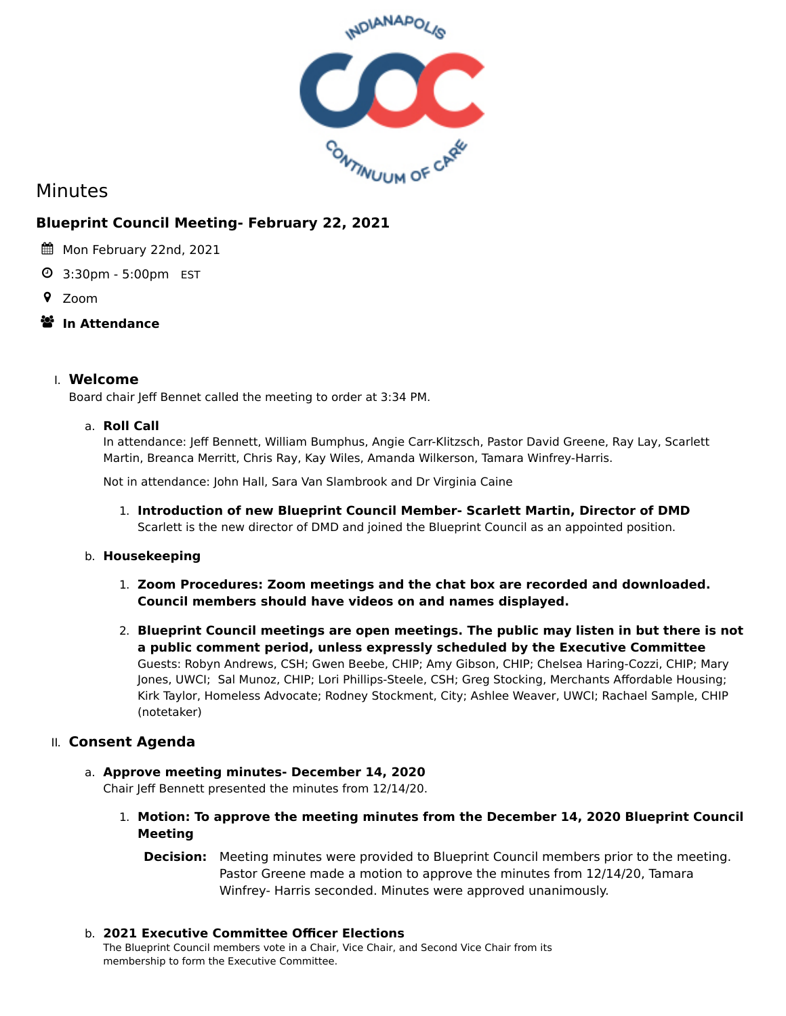

# Minutes

## **Blueprint Council Meeting- February 22, 2021**

- Mon February 22nd, 2021
- 3:30pm 5:00pm EST
- Zoom
- **In Attendance**

## I. **Welcome**

Board chair Jeff Bennet called the meeting to order at 3:34 PM.

## a. **Roll Call**

In attendance: Jeff Bennett, William Bumphus, Angie Carr-Klitzsch, Pastor David Greene, Ray Lay, Scarlett Martin, Breanca Merritt, Chris Ray, Kay Wiles, Amanda Wilkerson, Tamara Winfrey-Harris.

Not in attendance: John Hall, Sara Van Slambrook and Dr Virginia Caine

1. **Introduction of new Blueprint Council Member- Scarlett Martin, Director of DMD** Scarlett is the new director of DMD and joined the Blueprint Council as an appointed position.

## b. **Housekeeping**

- 1. **Zoom Procedures: Zoom meetings and the chat box are recorded and downloaded. Council members should have videos on and names displayed.**
- 2. **Blueprint Council meetings are open meetings. The public may listen in but there is not a public comment period, unless expressly scheduled by the Executive Committee** Guests: Robyn Andrews, CSH; Gwen Beebe, CHIP; Amy Gibson, CHIP; Chelsea Haring-Cozzi, CHIP; Mary Jones, UWCI; Sal Munoz, CHIP; Lori Phillips-Steele, CSH; Greg Stocking, Merchants Affordable Housing; Kirk Taylor, Homeless Advocate; Rodney Stockment, City; Ashlee Weaver, UWCI; Rachael Sample, CHIP (notetaker)

## II. **Consent Agenda**

a. **Approve meeting minutes- December 14, 2020**

Chair Jeff Bennett presented the minutes from 12/14/20.

- 1. **Motion: To approve the meeting minutes from the December 14, 2020 Blueprint Council Meeting**
	- **Decision:** Meeting minutes were provided to Blueprint Council members prior to the meeting. Pastor Greene made a motion to approve the minutes from 12/14/20, Tamara Winfrey- Harris seconded. Minutes were approved unanimously.
- b. **2021 Executive Committee Officer Elections** The Blueprint Council members vote in a Chair, Vice Chair, and Second Vice Chair from its membership to form the Executive Committee.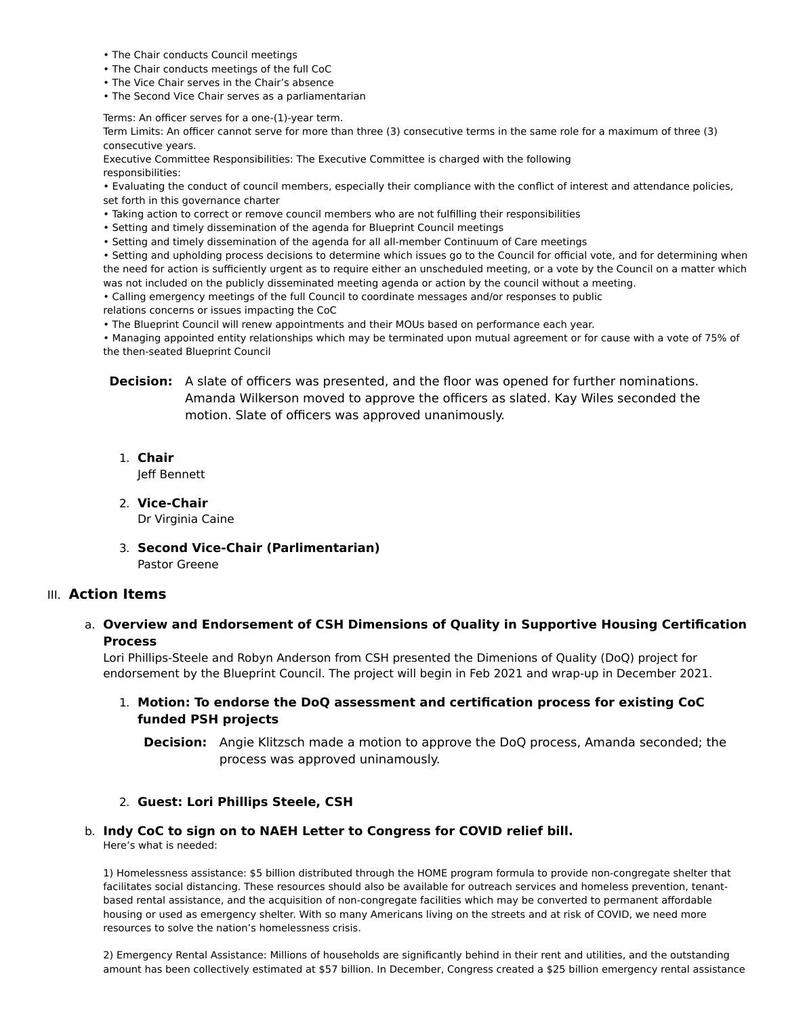- The Chair conducts Council meetings
- The Chair conducts meetings of the full CoC
- The Vice Chair serves in the Chair's absence
- The Second Vice Chair serves as a parliamentarian

Terms: An officer serves for a one-(1)-year term.

Term Limits: An officer cannot serve for more than three (3) consecutive terms in the same role for a maximum of three (3) consecutive years.

Executive Committee Responsibilities: The Executive Committee is charged with the following responsibilities:

• Evaluating the conduct of council members, especially their compliance with the conflict of interest and attendance policies, set forth in this governance charter

- Taking action to correct or remove council members who are not fulfilling their responsibilities
- Setting and timely dissemination of the agenda for Blueprint Council meetings
- Setting and timely dissemination of the agenda for all all-member Continuum of Care meetings

• Setting and upholding process decisions to determine which issues go to the Council for official vote, and for determining when the need for action is sufficiently urgent as to require either an unscheduled meeting, or a vote by the Council on a matter which was not included on the publicly disseminated meeting agenda or action by the council without a meeting.

• Calling emergency meetings of the full Council to coordinate messages and/or responses to public

relations concerns or issues impacting the CoC

• The Blueprint Council will renew appointments and their MOUs based on performance each year.

• Managing appointed entity relationships which may be terminated upon mutual agreement or for cause with a vote of 75% of the then-seated Blueprint Council

**Decision:** A slate of officers was presented, and the floor was opened for further nominations. Amanda Wilkerson moved to approve the officers as slated. Kay Wiles seconded the motion. Slate of officers was approved unanimously.

1. **Chair** Jeff Bennett

- 2. **Vice-Chair** Dr Virginia Caine
- 3. **Second Vice-Chair (Parlimentarian)** Pastor Greene

#### III. **Action Items**

a. **Overview and Endorsement of CSH Dimensions of Quality in Supportive Housing Certification Process**

Lori Phillips-Steele and Robyn Anderson from CSH presented the Dimenions of Quality (DoQ) project for endorsement by the Blueprint Council. The project will begin in Feb 2021 and wrap-up in December 2021.

## 1. **Motion: To endorse the DoQ assessment and certification process for existing CoC funded PSH projects**

**Decision:** Angie Klitzsch made a motion to approve the DoQ process, Amanda seconded; the process was approved uninamously.

#### 2. **Guest: Lori Phillips Steele, CSH**

## b. **Indy CoC to sign on to NAEH Letter to Congress for COVID relief bill.**

Here's what is needed:

1) Homelessness assistance: \$5 billion distributed through the HOME program formula to provide non-congregate shelter that facilitates social distancing. These resources should also be available for outreach services and homeless prevention, tenantbased rental assistance, and the acquisition of non-congregate facilities which may be converted to permanent affordable housing or used as emergency shelter. With so many Americans living on the streets and at risk of COVID, we need more resources to solve the nation's homelessness crisis.

2) Emergency Rental Assistance: Millions of households are significantly behind in their rent and utilities, and the outstanding amount has been collectively estimated at \$57 billion. In December, Congress created a \$25 billion emergency rental assistance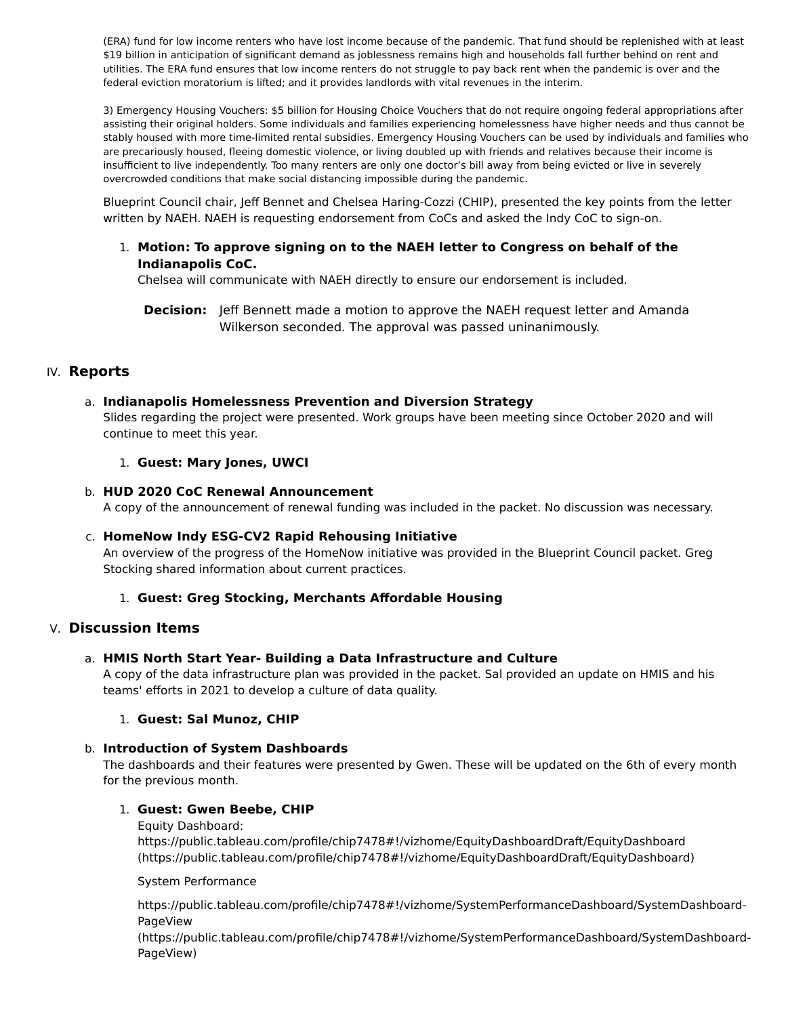(ERA) fund for low income renters who have lost income because of the pandemic. That fund should be replenished with at least \$19 billion in anticipation of significant demand as joblessness remains high and households fall further behind on rent and utilities. The ERA fund ensures that low income renters do not struggle to pay back rent when the pandemic is over and the federal eviction moratorium is lifted; and it provides landlords with vital revenues in the interim.

3) Emergency Housing Vouchers: \$5 billion for Housing Choice Vouchers that do not require ongoing federal appropriations after assisting their original holders. Some individuals and families experiencing homelessness have higher needs and thus cannot be stably housed with more time-limited rental subsidies. Emergency Housing Vouchers can be used by individuals and families who are precariously housed, fleeing domestic violence, or living doubled up with friends and relatives because their income is insufficient to live independently. Too many renters are only one doctor's bill away from being evicted or live in severely overcrowded conditions that make social distancing impossible during the pandemic.

Blueprint Council chair, Jeff Bennet and Chelsea Haring-Cozzi (CHIP), presented the key points from the letter written by NAEH. NAEH is requesting endorsement from CoCs and asked the Indy CoC to sign-on.

## 1. **Motion: To approve signing on to the NAEH letter to Congress on behalf of the Indianapolis CoC.**

Chelsea will communicate with NAEH directly to ensure our endorsement is included.

**Decision:** Jeff Bennett made a motion to approve the NAEH request letter and Amanda Wilkerson seconded. The approval was passed uninanimously.

## IV. **Reports**

## a. **Indianapolis Homelessness Prevention and Diversion Strategy**

Slides regarding the project were presented. Work groups have been meeting since October 2020 and will continue to meet this year.

#### 1. **Guest: Mary Jones, UWCI**

#### b. **HUD 2020 CoC Renewal Announcement**

A copy of the announcement of renewal funding was included in the packet. No discussion was necessary.

## c. **HomeNow Indy ESG-CV2 Rapid Rehousing Initiative**

An overview of the progress of the HomeNow initiative was provided in the Blueprint Council packet. Greg Stocking shared information about current practices.

## 1. **Guest: Greg Stocking, Merchants Affordable Housing**

## V. **Discussion Items**

a. **HMIS North Start Year- Building a Data Infrastructure and Culture**

A copy of the data infrastructure plan was provided in the packet. Sal provided an update on HMIS and his teams' efforts in 2021 to develop a culture of data quality.

#### 1. **Guest: Sal Munoz, CHIP**

## b. **Introduction of System Dashboards**

The dashboards and their features were presented by Gwen. These will be updated on the 6th of every month for the previous month.

#### 1. **Guest: Gwen Beebe, CHIP**

Equity Dashboard: https://public.tableau.com/profile/chip7478#!/vizhome/EquityDashboardDraft/EquityDashboard [\(https://public.tableau.com/profile/chip7478#!/vizhome/EquityDashboardDraft/EquityDashboard\)](https://public.tableau.com/profile/chip7478#!/vizhome/EquityDashboardDraft/EquityDashboard)

System Performance

https://public.tableau.com/profile/chip7478#!/vizhome/SystemPerformanceDashboard/SystemDashboard-PageView

[\(https://public.tableau.com/profile/chip7478#!/vizhome/SystemPerformanceDashboard/SystemDashboard-](https://public.tableau.com/profile/chip7478#!/vizhome/SystemPerformanceDashboard/SystemDashboard-PageView)PageView)